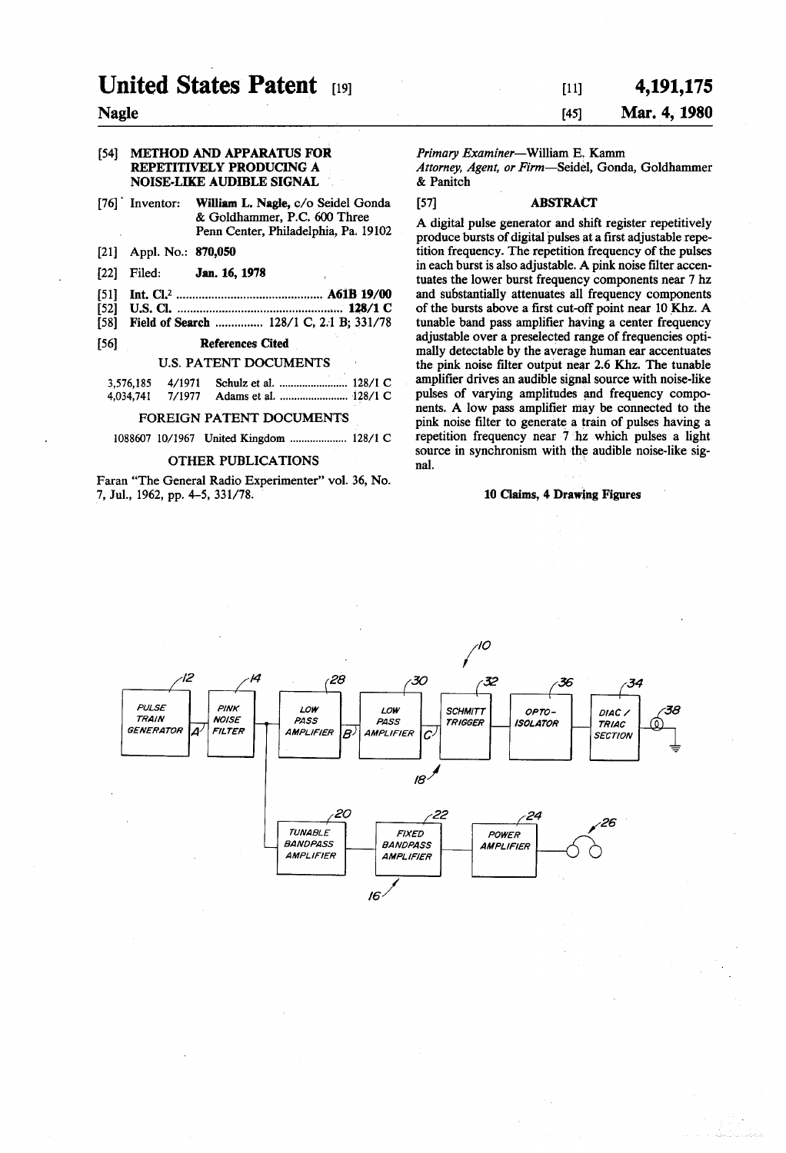# United States Patent 1991

# Nagle

# [54] METHOD AND APPARATUS FOR REPETITIVELY PRODUCING A NOISE-LIKE AUDIBLE SIGNAL

- [76] Inventor: William L. Nagle, c/o Seidel Gonda & Goldhammer, P.C. 600 Three Penn Center, Philadelphia, Pa. 19102
- [21] Appl. No.: 870,050
- 22 Filed: Jan. 16, 1978
- 51 Int. Cl'.............................................. A61B 19/00
- 52 U.S. Cl. ................................................ ... 128/1 C
- Field of Search ............... 128/1 C, 2.1 B; 331/78

# (56) References Cited

## U.S. PATENT DOCUMENTS

#### FOREIGN PATENT DOCUMENTS

1088607 10/1967 United Kingdom ..................... 128/1 C

#### OTHER PUBLICATIONS

Faran "The General Radio Experimenter' vol. 36, No. 7, Jul., 1962, pp. 4-5, 331/78.

# $[11]$  4,191,175 45) Mar. 4, 1980

Primary Examiner-William E. Kamm Attorney, Agent, or Firm-Seidel, Gonda, Goldhammer & Panitch

# 57 ABSTRACT

A digital pulse generator and shift register repetitively produce bursts of digital pulses at a first adjustable repe tition frequency. The repetition frequency of the pulses in each burst is also adjustable. A pink noise filter accen tuates the lower burst frequency components near 7 hz and substantially attenuates all frequency components of the bursts above a first cut-off point near 10 Khz. A adjustable over a preselected range of frequencies optimally detectable by the average human ear accentuates the pink noise filter output near 2.6 Khz. The tunable amplifier drives an audible signal source with noise-like pulses of varying amplitudes and frequency compo nents. A low pass amplifier may be connected to the pink noise filter to generate a train of pulses having a repetition frequency near 7 hz which pulses a light source in synchronism with the audible noise-like signal.

# 10 Claims, 4 Drawing Figures

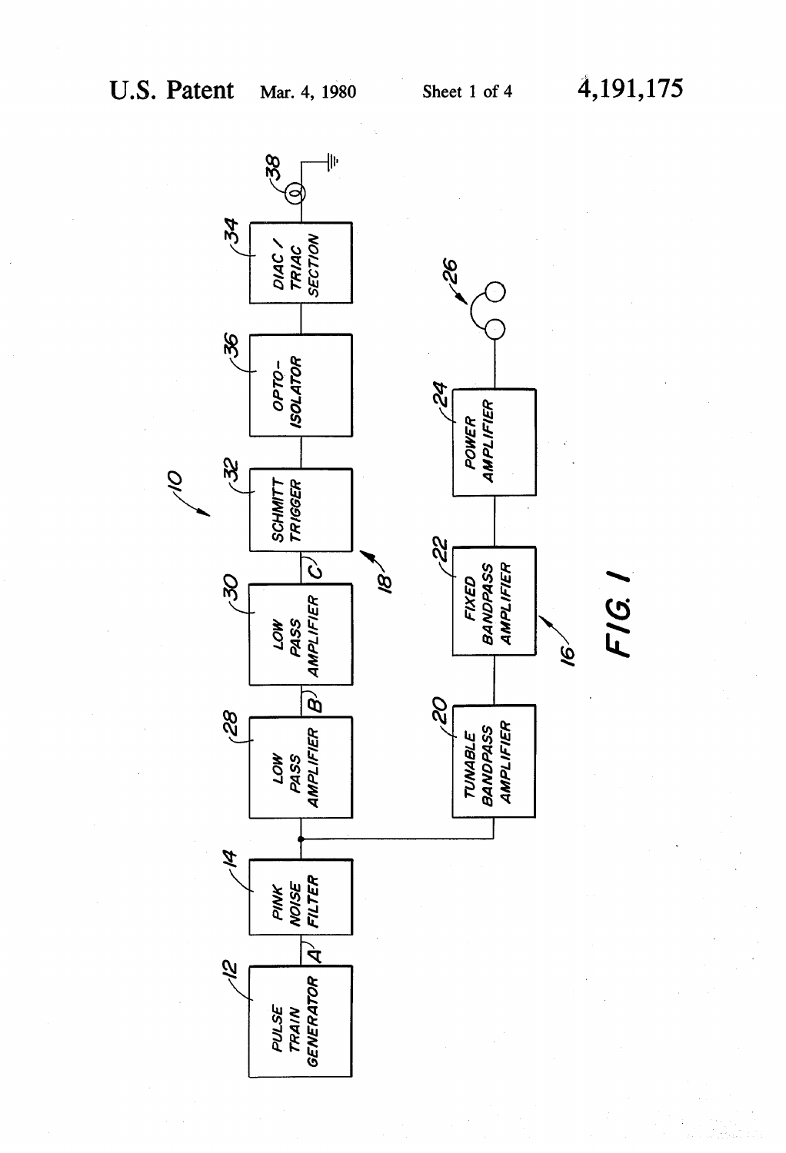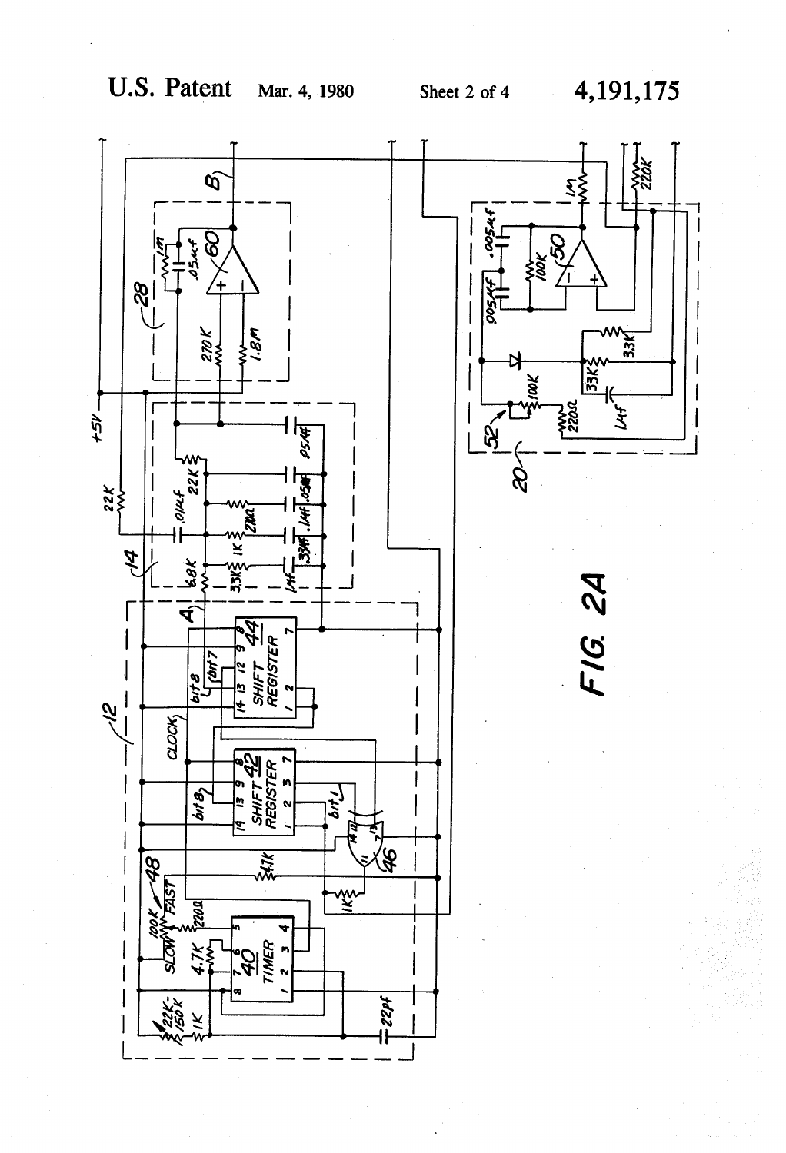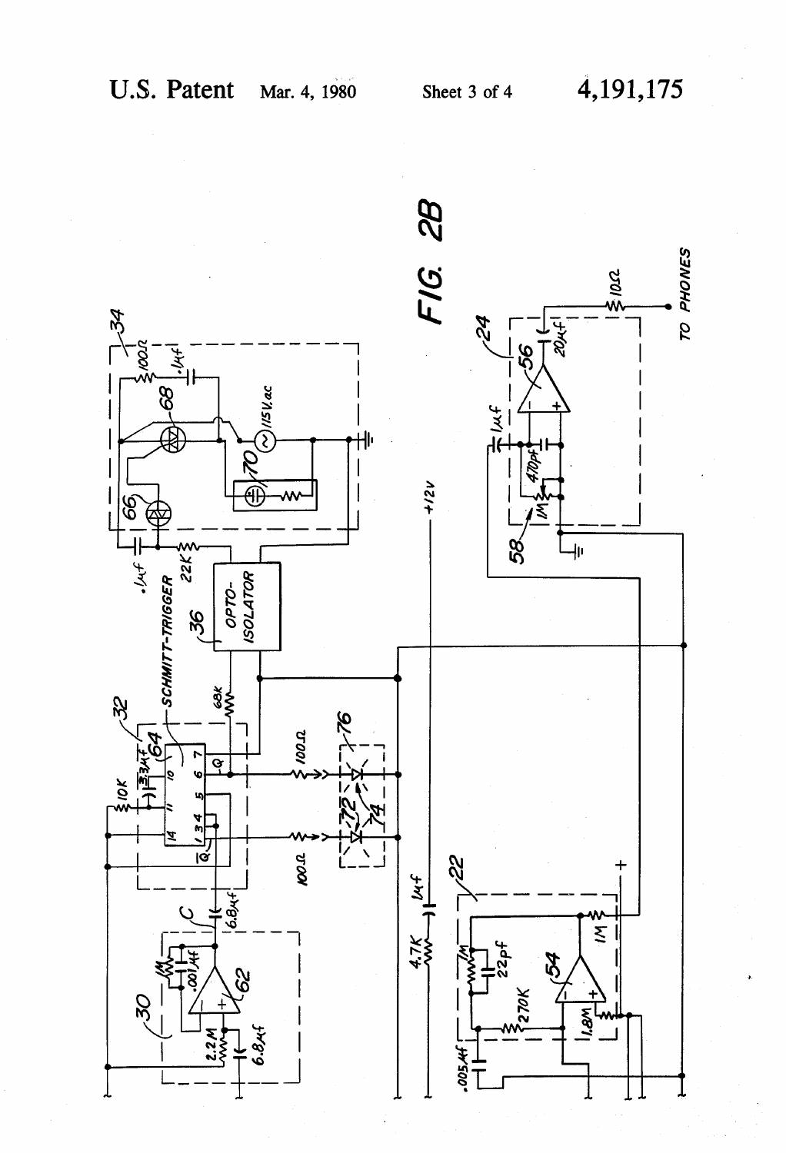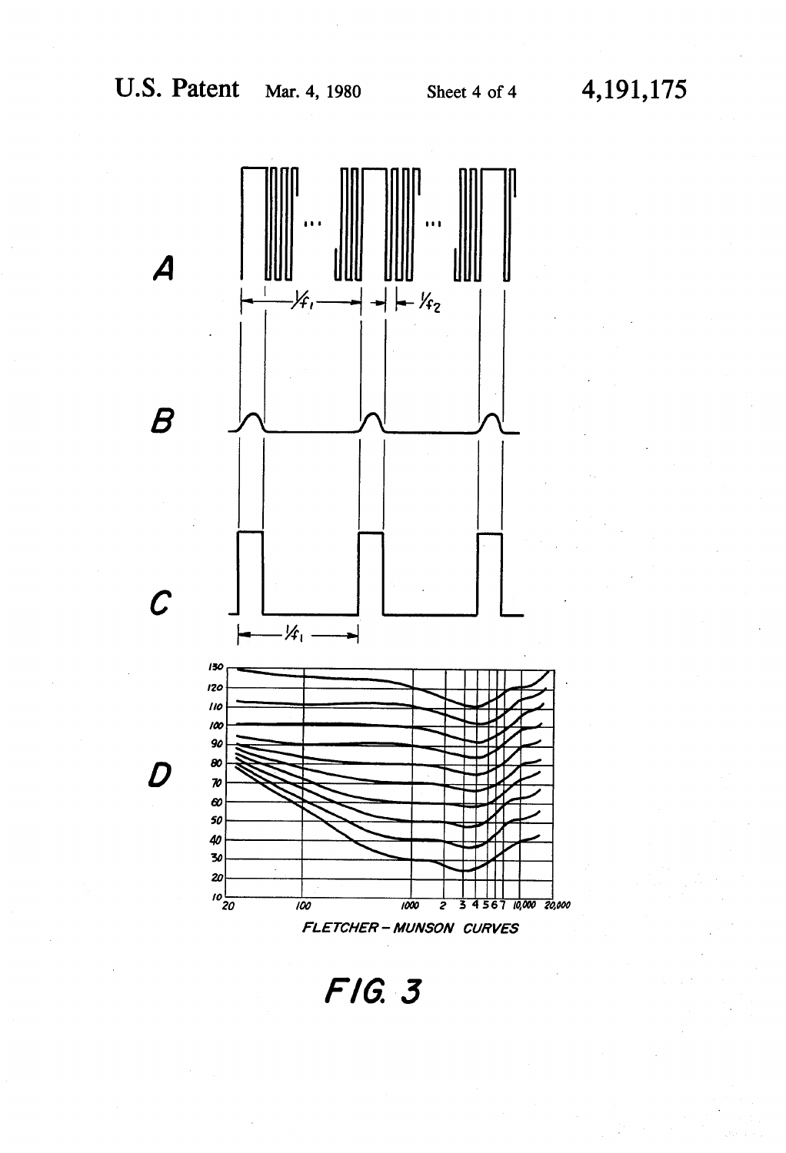



F1G. 3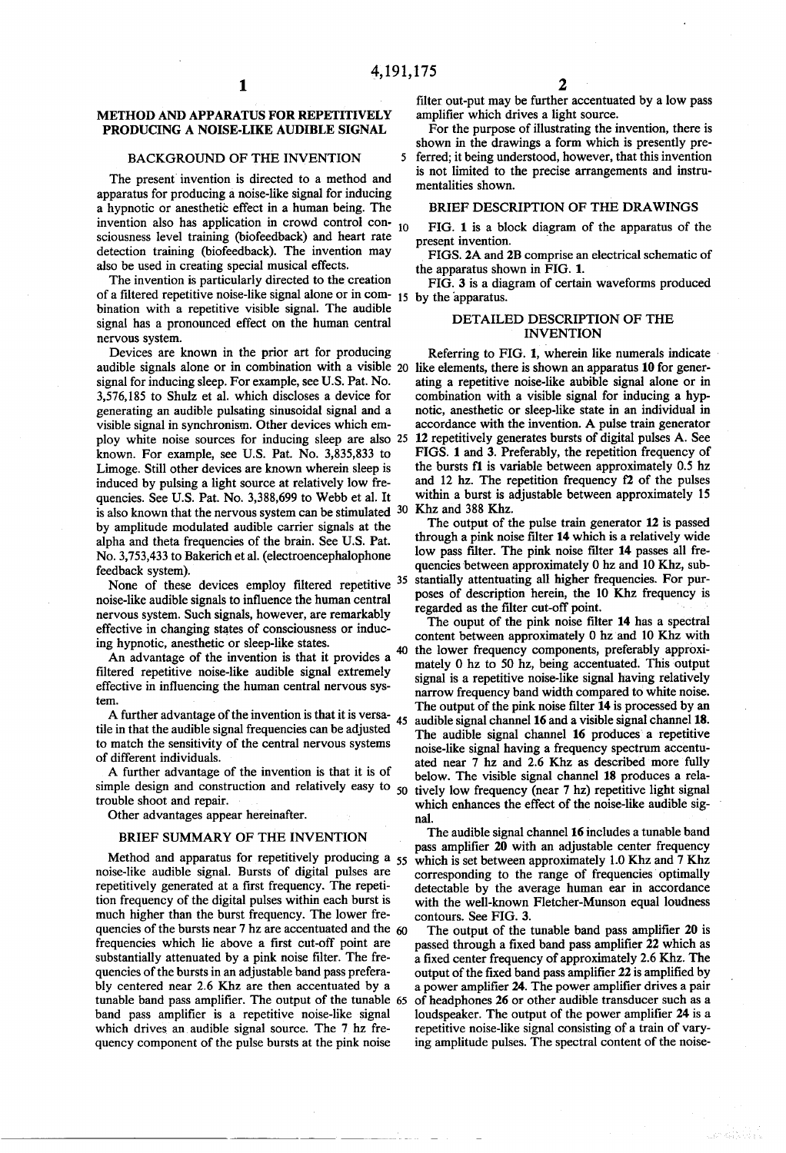5

# METHOD AND APPARATUS FOR REPETITIVELY PRODUCING A NOISE-LIKE AUDIBLE SIGNAL

# BACKGROUND OF THE INVENTION

The present invention is directed to a method and apparatus for producing a noise-like signal for inducing a hypnotic or anesthetic effect in a human being. The invention also has application in crowd control consciousness level training (biofeedback) and heart rate detection training (biofeedback). The invention may also be used in creating special musical effects.

The invention is particularly directed to the creation of a filtered repetitive noise-like signal alone or in com- $_{15}$ bination with a repetitive visible signal. The audible signal has a pronounced effect on the human central

nervous system.<br>Devices are known in the prior art for producing<br>audible signals alone or in combination with a visible 20 signal for inducing sleep. For example, see U.S. Pat. No. 3,576, 185 to Shulz et al. which discloses a device for generating an audible pulsating sinusoidal signal and a visible signal in synchronism. Other devices which em ploy white noise sources for inducing sleep are also 25 known. For example, see U.S. Pat. No. 3,835,833 to Limoge. Still other devices are known wherein sleep is induced by pulsing a light source at relatively low fre quencies. See U.S. Pat. No. 3,388,699 to Webb et al. It is also known that the nervous system can be stimulated  $30\,$  Khz and  $388\,$  Khz. by amplitude modulated audible carrier signals at the alpha and theta frequencies of the brain. See U.S. Pat. No. 3,753,433 to Bakerich et al. (electroencephalophone

feedback system).<br>None of these devices employ filtered repetitive noise-like audible signals to influence the human central nervous system. Such signals, however, are remarkably effective in changing states of consciousness or induc ing hypnotic, anesthetic or sleep-like states.

An advantage of the invention is that it provides a filtered repetitive noise-like audible signal extremely effective in influencing the human central nervous systen.

A further advantage of the invention is that it is versa tile in that the audible signal frequencies can be adjusted to match the sensitivity of the central nervous systems of different individuals. 45

A further advantage of the invention is that it is of simple design and construction and relatively easy to  $50$  tively low frequency (near 7 hz) repetitive light signal trouble shoot and repair. Other advantages appear hereinafter.

#### BRIEF SUMMARY OF THE INVENTION

Method and apparatus for repetitively producing a 55 noise-like audible signal. Bursts of digital pulses are repetitively generated at a first frequency. The repeti tion frequency of the digital pulses within each burst is much higher than the burst frequency. The lower fre quencies of the bursts near 7 hz are accentuated and the  $60$ frequencies which lie above a first cut-off point are substantially attenuated by a pink noise filter. The fre quencies of the bursts in an adjustable band pass prefera bly centered near 2.6 Khz are then accentuated by a tunable band pass amplifier. The output of the tunable 65 band pass amplifier is a repetitive noise-like signal which drives an audible signal source. The 7 hz frequency component of the pulse bursts at the pink noise

filter out-put may be further accentuated by a low pass amplifier which drives a light source.

For the purpose of illustrating the invention, there is shown in the drawings a form which is presently pre

ferred; it being understood, however, that this invention is not limited to the precise arrangements and instru mentalities shown.

#### BRIEF DESCRIPTION OF THE DRAWINGS

FIG. 1 is a block diagram of the apparatus of the present invention.

FIGS. 2A and 2B comprise an electrical schematic of the apparatus shown in FIG. 1.

FIG. 3 is a diagram of certain waveforms produced

# DETALED DESCRIPTION OF THE INVENTION

Referring to FIG. 1, wherein like numerals indicate ating a repetitive noise-like aubible signal alone or in combination with a visible signal for inducing a hypnotic, anesthetic or sleep-like state in an individual in accordance with the invention. A pulse train generator 12 repetitively generates bursts of digital pulses A. See FIGS. 1 and 3. Preferably, the repetition frequency of the bursts  $f1$  is variable between approximately 0.5 hz and 12 hz. The repetition frequency  $f2$  of the pulses within a burst is adjustable between approximately 15

35 stantially attentuating all higher frequencies. For pur The output of the pulse train generator 12 is passed through a pink noise filter 14 which is a relatively wide low pass filter. The pink noise filter 14 passes all fre quencies between approximately 0 hz and 10 Khz, subposes of description herein, the 10 Khz frequency is

The ouput of the pink noise filter 14 has a spectral content between approximately 0 hz and 10 Khz with the lower frequency components, preferably approximately 0 hz to 50 hz, being accentuated. This output signal is a repetitive noise-like signal having relatively narrow frequency band width compared to white noise. The output of the pink noise filter  $14$  is processed by an audible signal channel 16 and a visible signal channel 18. noise-like signal having a frequency spectrum accentuated near 7 hz and 2.6 Khz as described more fully below. The visible signal channel 18 produces a relawhich enhances the effect of the noise-like audible sig nal.

The audible signal channel 16 includes a tunable band<br>pass amplifier 20 with an adjustable center frequency which is set between approximately 1.0 Khz and 7 Khz corresponding to the range of frequencies optimally detectable by the average human ear in accordance with the well-known Fletcher-Munson equal loudness contours. See FIG. 3.

The output of the tunable band pass amplifier 20 is passed through a fixed band pass amplifier 22 which as a fixed center frequency of approximately 2.6 Khz. The output of the fixed band pass amplifier 22 is amplified by a power amplifier 24. The power amplifier drives a pair of headphones 26 or other audible transducer such as a loudspeaker. The output of the power amplifier 24 is a repetitive noise-like signal consisting of a train of varying amplitude pulses. The spectral content of the noise-

alar kalendar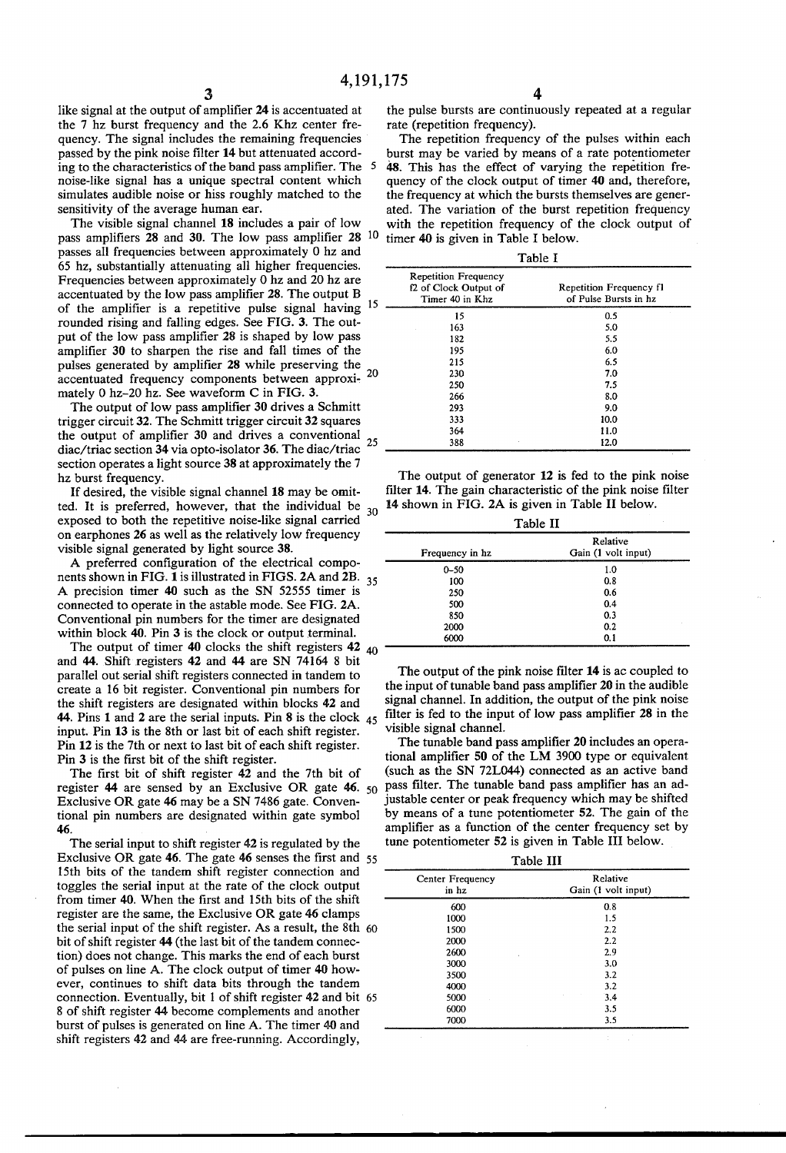like signal at the output of amplifier 24 is accentuated at the 7 hz burst frequency and the 2.6 Khz center frequency. The signal includes the remaining frequencies passed by the pink noise filter 14 but attenuated accord ing to the characteristics of the band pass amplifier. The 5 noise-like signal has a unique spectral content which simulates audible noise or hiss roughly matched to the sensitivity of the average human ear.

The visible signal channel 18 includes a pair of low pass amplifiers 28 and 30. The low pass amplifier 28 10 passes all frequencies between approximately 0 hz and 65 hz, substantially attenuating all higher frequencies. Frequencies between approximately 0 hz and 20 hz are accentuated by the low pass amplifier 28. The output B of the amplifier is a repetitive pulse signal having <sup>15</sup> rounded rising and falling edges. See FIG. 3. The out-<br>put of the low pass amplifier 28 is shaped by low pass amplifier 30 to sharpen the rise and fall times of the pulses generated by amplifier 28 while preserving the accentuated frequency components between approxi mately 0 hz-20 hz. See waveform C in FIG. 3.

The output of low pass amplifier 30 drives a Schmitt trigger circuit 32. The Schmitt trigger circuit 32 squares trigger circuit 32. The Schmitt trigger circuit 32 squares<br>the output of amplifier 30 and drives a conventional<br>disc/trice sestion 24 vis ante isolator 26. The disc/trice 25 diac/triac section 34 via opto-isolator 36. The diac/triac section operates a light source 38 at approximately the 7 hz burst frequency.

If desired, the visible signal channel 18 may be omit ted. It is preferred, however, that the individual be exposed to both the repetitive noise-like signal carried<br>on earphones 26 as well as the relatively low frequency visible signal generated by light source 38. 30

A preferred configuration of the electrical compo nents shown in FIG. 1 is illustrated in FIGS. 2A and 2B. 35 A precision timer 40 such as the SN 52555 timer is connected to operate in the astable mode. See FIG. 2A.<br>Conventional pin numbers for the timer are designated within block 40. Pin 3 is the clock or output terminal.

The output of timer 40 clocks the shift registers 42  $_{40}$ and 44. Shift registers 42 and 44 are SN 74164 8 bit parallel out serial shift registers connected in tandem to create a 16 bit register. Conventional pin numbers for the shift registers are designated within blocks 42 and 44. Pins 1 and 2 are the serial inputs. Pin 8 is the clock  $45$ input. Pin 13 is the 8th or last bit of each shift register. Pin 12 is the 7th or next to last bit of each shift register. Pin 3 is the first bit of the shift register. The first bit of shift register 42 and the 7th bit of

register  $44$  are sensed by an Exclusive OR gate  $46.50$ Exclusive OR gate 46 may be a SN 7486 gate. Conven tional pin numbers are designated within gate symbol 46.

The serial input to shift register 42 is regulated by the Exclusive OR gate 46. The gate 46 senses the first and 55 15th bits of the tandem shift register connection and toggles the serial input at the rate of the clock output from timer 40. When the first and 15th bits of the shift register are the same, the Exclusive OR gate 46 clamps the serial input of the shift register. As a result, the 8th 60 bit of shift register 44 (the last bit of the tandem connec tion) does not change. This marks the end of each burst of pulses on line A. The clock output of timer 40 how ever, continues to shift data bits through the tandem connection. Eventually, bit 1 of shift register 42 and bit 65 8 of shift register 44 become complements and another burst of pulses is generated on line A. The timer 40 and shift registers 42 and 44 are free-running. Accordingly,

the pulse bursts are continuously repeated at a regular rate (repetition frequency).

The repetition frequency of the pulses within each burst may be varied by means of a rate potentiometer 48. This has the effect of varying the repetition frequency of the clock output of timer 40 and, therefore, the frequency at which the bursts themselves are generated. The variation of the burst repetition frequency with the repetition frequency of the clock output of timer 40 is given in Table I below.

Table

| 15 | <b>Repetition Frequency</b><br>f2 of Clock Output of<br>Timer 40 in Khz | Repetition Frequency f1<br>of Pulse Bursts in hz |
|----|-------------------------------------------------------------------------|--------------------------------------------------|
|    | 15                                                                      | 0.5                                              |
|    | 163                                                                     | 5.0                                              |
|    | 182                                                                     | 5.5                                              |
|    | 195                                                                     | 6.0                                              |
|    | 215                                                                     | 6.5                                              |
| 20 | 230                                                                     | 7.0                                              |
|    | 250                                                                     | 7.5                                              |
|    | 266                                                                     | 8.0                                              |
|    | 293                                                                     | 9.0                                              |
|    | 333                                                                     | 10.0                                             |
|    | 364                                                                     | 11.0                                             |
| 25 | 388                                                                     | 12.0                                             |

The output of generator 12 is fed to the pink noise filter 14. The gain characteristic of the pink noise filter 14 shown in FIG. 2A is given in Table II below.

| Table II        |                                 |  |
|-----------------|---------------------------------|--|
| Frequency in hz | Relative<br>Gain (1 volt input) |  |
| $0 - 50$        | 1.0                             |  |
| 100             | 0.8                             |  |
| 250             | 0.6                             |  |
| 500             | 0.4                             |  |
| 850             | 0.3                             |  |
| 2000            | 0.2                             |  |
| 6000            | 0.1                             |  |

The output of the pink noise filter 14 is ac coupled to the input of tunable band pass amplifier 20 in the audible signal channel. In addition, the output of the pink noise filter is fed to the input of low pass amplifier 28 in the

visible signal channel.<br>The tunable band pass amplifier 20 includes an operational amplifier 50 of the LM 3900 type or equivalent (such as the SN 72L044) connected as an active band pass filter. The tunable band pass amplifier has an ad justable center or peak frequency which may be shifted by means of a tune potentiometer 52. The gain of the amplifier as a function of the center frequency set by tune potentiometer 52 is given in Table III below.

| anie |  |
|------|--|
|      |  |

| Center Frequency<br>in hz | Relative<br>Gain (1 volt input) |
|---------------------------|---------------------------------|
|                           |                                 |
| 600                       | 0.8                             |
| 1000                      | 1.5                             |
| 1500                      | 2,2                             |
| 2000                      | 2.2                             |
| 2600                      | 2.9                             |
| 3000                      | 3.0                             |
| 3500                      | 3.2                             |
| 4000                      | 3.2                             |
| 5000                      | 3.4                             |
| 6000                      | 3.5                             |
| 7000                      | 3.5                             |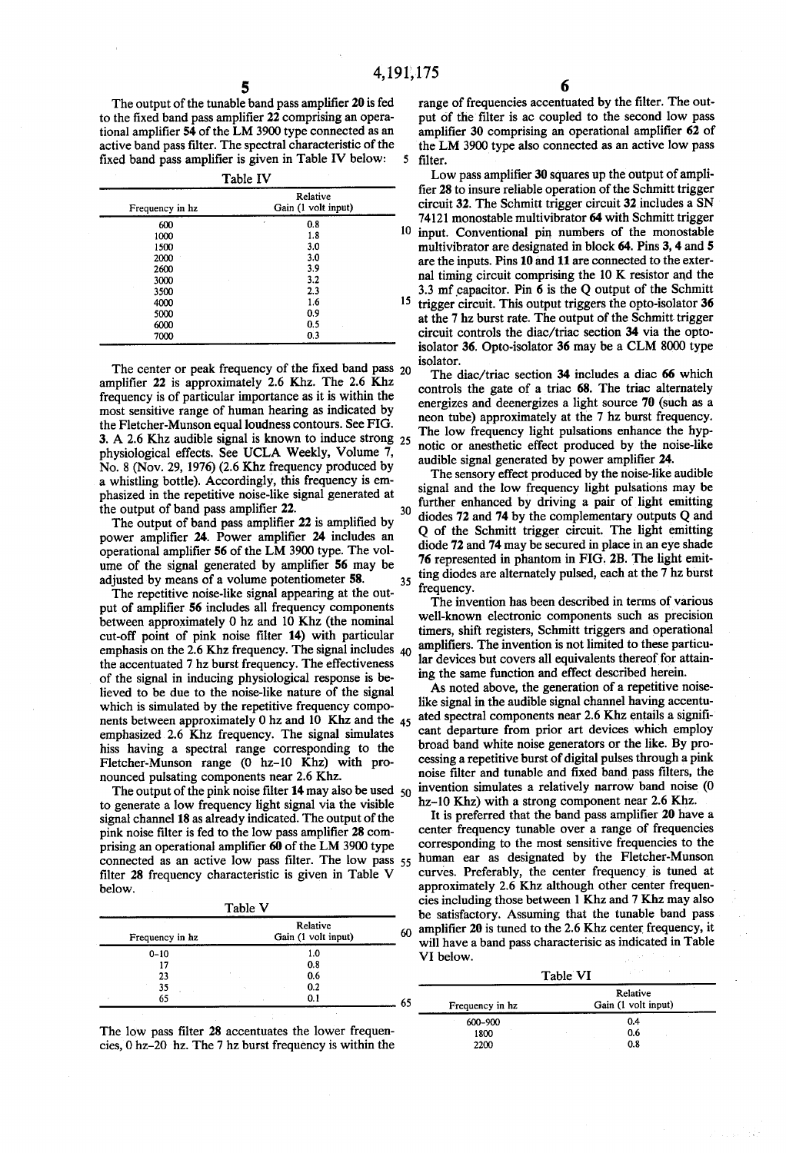5

35

The output of the tunable band pass amplifier 20 is fed<br>to the fixed band pass amplifier 22 comprising an operational amplifier 54 of the LM 3900 type connected as an active band pass filter. The spectral characteristic of the fixed band pass amplifier is given in Table IV below:

Table IV

|    | TAUIL IT                        |                 |
|----|---------------------------------|-----------------|
|    | Relative<br>Gain (1 volt input) | Frequency in hz |
|    | 0.8<br>×                        | 600             |
| 10 | 1.8                             | 1000            |
|    | 3.0                             | 1500            |
|    | 3.0                             | 2000            |
|    | 3.9                             | 2600            |
|    | 3.2                             | 3000            |
|    | 2.3                             | 3500            |
| 15 | 1.6                             | 4000            |
|    | 0.9                             | 5000            |
|    | 0.5                             | 6000            |
|    | 0.3                             | 7000            |

amplifier 22 is approximately 2.6 Khz. The 2.6 Khz frequency is of particular importance as it is within the the Fletcher-Munson equal loudness contours. See FIG. physiological effects. See UCLA Weekly, Volume 7, No. 8 (Nov. 29, 1976) (2.6 Khz frequency produced by a whistling bottle). Accordingly, this frequency is em phasized in the repetitive noise-like signal generated at the output of band pass amplifier 22. The center or peak frequency of the fixed band pass  $_{20}$ 3. A 2.6 Khz audible signal is known to induce strong  $25$ 

The output of band pass amplifier 22 is amplified by power amplifier 24. Power amplifier 24 includes an operational amplifier 56 of the LM 3900 type. The vol ume of the signal generated by amplifier 56 may be adjusted by means of a volume potentiometer 58.

The repetitive noise-like signal appearing at the out put of amplifier 56 includes all frequency components between approximately 0 hz and 10 Khz (the nominal cut-off point of pink noise filter 14) with particular cut-off point of pink noise filter  $14$ ) with particular emphasis on the 2.6 Khz frequency. The signal includes  $40$ the accentuated 7 hz burst frequency. The effectiveness of the signal in inducing physiological response is believed to be due to the noise-like nature of the signal which is simulated by the repetitive frequency components between approximately 0hz and 10 Khz and the 45 emphasized 2.6 Khz frequency. The signal simulates hiss having a spectral range corresponding to the Fletcher-Munson range (0 hz-10 Khz) with pronounced pulsating components near 2.6 Khz.

The output of the pink noise filter  $14$  may also be used  $50$ to generate a low frequency light signal via the visible signal channel 18 as already indicated. The output of the pink noise filter is fed to the low pass amplifier 28 com prising an operational amplifier 60 of the LM 3900 type filter 28 frequency characteristic is given in Table V below. connected as an active low pass filter. The low pass 55

| Frequency in hz                | Relative<br>Gain (1 volt input) | 60 |
|--------------------------------|---------------------------------|----|
| $0 - 10$                       | 1.0                             |    |
| 17                             | 0.8                             |    |
| $\overline{\phantom{a}}$<br>23 | 0.6                             |    |
| 35                             | 0.2<br>×.                       |    |
| 65                             | 0.1                             |    |

The low pass filter 28 accentuates the lower frequencies, 0 hz-20 hz. The 7 hz burst frequency is within the

range of frequencies accentuated by the filter. The out-<br>put of the filter is ac coupled to the second low pass amplifier 30 comprising an operational amplifier 62 of the LM 3900 type also connected as an active low pass filter.

Low pass amplifier 30 squares up the output of amplifier 28 to insure reliable operation of the Schmitt trigger circuit 32 includes a SN 74121 monostable multivibrator 64 with Schmitt trigger input. Conventional pin numbers of the monostable multivibrator are designated in block 64. Pins 3, 4 and 5 are the inputs. Pins 10 and 11 are connected to the exter

nal timing circuit comprising the 10K resistor and the 3.3 mfcapacitor. Pin 6 is the Q output of the Schmitt trigger circuit. This output triggers the opto-isolator 36 at the 7 hz burst rate. The output of the Schmitt trigger circuit controls the diac/triac section 34 via the opto-isolator 36. Opto-isolator 36 may be a CLM 8000 type isolator.

The diac/triac section 34 includes a diac 66 which controls the gate of a triac 68. The triac alternately energizes and deenergizes a light source 70 (such as a neon tube) approximately at the 7 hz burst frequency. The low frequency light pulsations enhance the hypnotic or anesthetic effect produced by the noise-like audible signal generated by power amplifier 24.

further enhanced by driving a pair of light emitting<br> $30$  diable  $\overline{32}$  and  $\overline{34}$  by the complementary outputs  $\Omega$  and The sensory effect produced by the noise-like audible signal and the low frequency light pulsations may be diodes  $72$  and  $74$  by the complementary outputs Q and Q of the Schmitt trigger circuit. The light emitting diode 72 and 74 may be secured in place in an eye shade 76 represented in phantom in FIG. 2B. The light emit ting diodes are alternately pulsed, each at the 7 hz burst frequency.

The invention has been described in terms of various<br>well-known electronic components such as precision timers, shift registers, Schmitt triggers and operational amplifiers. The invention is not limited to these particular devices but covers all equivalents thereof for attaining the same function and effect described herein.

As noted above, the generation of a repetitive noise like signal in the audible signal channel having accentu ated spectral components near 2.6 Khz entails a signifi broad band white noise generators or the like. By processing a repetitive burst of digital pulses through a pink noise filter and tunable and fixed band pass filters, the invention simulates a relatively narrow band noise (0 hz-10 Khz) with a strong component near 2.6 Khz.

It is preferred that the band pass amplifier 20 have a center frequency tunable over a range of frequencies corresponding to the most sensitive frequencies to the human ear as designated by the Fletcher-Munson curves. Preferably, the center frequency is tuned at cies including those between 1 Khz and 7 Khz may also<br>be satisfactory. Assuming that the tunable band pass amplifier 20 is tuned to the 2.6 Khz center frequency, it will have a band pass characterisic as indicated in Table VI below.

|    |                 | and are<br>Table VI             |
|----|-----------------|---------------------------------|
| 65 | Frequency in hz | Relative<br>Gain (1 volt input) |
|    | 600-900         | 0.4                             |
|    | 1800            | 0.6                             |
|    | 2200            | 0.8                             |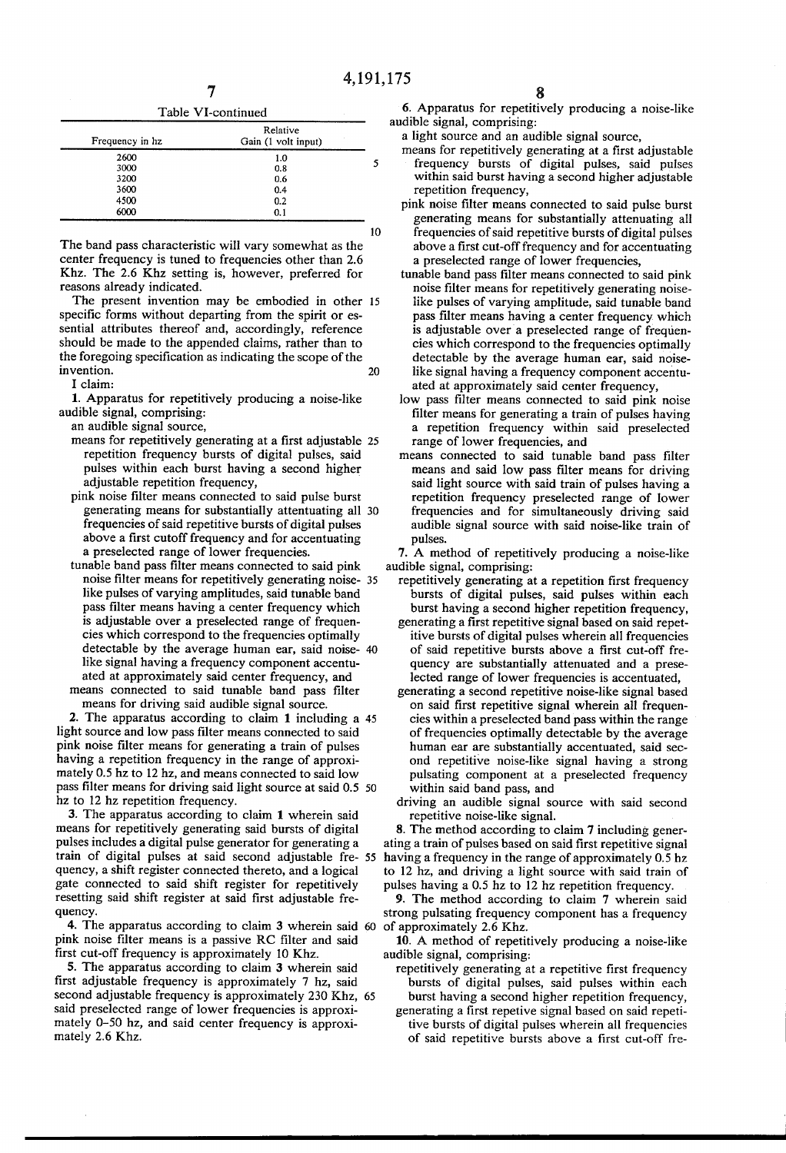10

| Table VI-continued |  |
|--------------------|--|
|                    |  |

| Frequency in hz | Relative<br>Gain (1 volt input) |   |
|-----------------|---------------------------------|---|
| 2600            | 1.0                             |   |
| 3000            | 0.8                             | 5 |
| 3200            | 0.6                             |   |
| 3600            | 0.4                             |   |
| 4500            | 0.2                             |   |
| 6000            | 0.1                             |   |

The band pass characteristic will vary somewhat as the center frequency is tuned to frequencies other than 2.6 Khz. The 2.6 Khz setting is, however, preferred for reasons already indicated.

The present invention may be embodied in other 15 specific forms without departing from the spirit or es sential attributes thereof and, accordingly, reference should be made to the appended claims, rather than to the foregoing specification as indicating the scope of the invention.  $20$ 

I claim:

1. Apparatus for repetitively producing a noise-like audible signal, comprising:

an audible signal source,

- repetition frequency bursts of digital pulses, said pulses within each burst having a second higher adjustable repetition frequency, means for repetitively generating at a first adjustable 25
- pink noise filter means connected to said pulse burst generating means for substantially attentuating all 30 frequencies of said repetitive bursts of digital pulses above a first cutoff frequency and for accentuating a preselected range of lower frequencies.<br>tunable band pass filter means connected to said pink
- tunable band pass filter means connected to said pink noise filter means for repetitively generating noise- 35 like pulses of varying amplitudes, said tunable band pass filter means having a center frequency which<br>is adjustable over a preselected range of frequencies which correspond to the frequencies optimally detectable by the average human ear, said noise like signal having a frequency component accentu ated at approximately said center frequency, and means connected to said tunable band pass filter

means for driving said audible signal source.

2. The apparatus according to claim 1 including a 45 light source and low pass filter means connected to said pink noise filter means for generating a train of pulses having a repetition frequency in the range of approximately 0.5 hz to 12 hz, and means connected to said low pass filter means for driving said light source at said 0.5 50 hz to 12 hz repetition frequency.

3. The apparatus according to claim 1 wherein said means for repetitively generating said bursts of digital pulses includes a digital pulse generator for generating a train of digital pulses at said second adjustable fre 55 quency, a shift register connected thereto, and a logical<br>gate connected to said shift register for repetitively resetting said shift register at said first adjustable frequency.

4. The apparatus according to claim 3 wherein said of approximately 2.6 Khz. pink noise filter means is a passive RC filter and said first cut-off frequency is approximately 10 Khz.

5. The apparatus according to claim 3 wherein said first adjustable frequency is approximately 7 hz, said said preselected range of lower frequencies is approximately 0-50 hz, and said center frequency is approximately 2.6 Khz. second adjustable frequency is approximately 230 Khz, 65

6. Apparatus for repetitively producing a noise-like audible signal, comprising:

a light source and an audible signal source,<br>means for repetitively generating at a first adjustable

- frequency bursts of digital pulses, said pulses within said burst having a second higher adjustable repetition frequency,
- pink noise filter means connected to said pulse burst generating means for substantially attenuating all frequencies of said repetitive bursts of digital pulses above a first cut-off frequency and for accentuating a preselected range of lower frequencies,<br>tunable band pass filter means connected to said pink
- noise filter means for repetitively generating noiselike pulses of varying amplitude, said tunable band pass filter means having a center frequency which<br>is adjustable over a preselected range of frequencies which correspond to the frequencies optimally detectable by the average human ear, said noiselike signal having a frequency component accentuated at approximately said center frequency,
- low pass filter means connected to said pink noise filter means for generating a train of pulses having a repetition frequency within said preselected range of lower frequencies, and
- means connected to said tunable band pass filter<br>means and said low pass filter means for driving said light source with said train of pulses having a repetition frequency preselected range of lower frequencies and for simultaneously driving said audible signal source with said noise-like train of pulses.

7. A method of repetitively producing a noise-like audible signal, comprising:

- repetitively generating at a repetition first frequency bursts of digital pulses, said pulses within each burst having a second higher repetition frequency.
- generating a first repetitive signal based on said repetitive bursts of digital pulses wherein all frequencies of said repetitive bursts above a first cut-off fre
- lected range of lower frequencies is accentuated, generating a second repetitive roise-like signal based<br>on said first repetitive signal wherein all frequencies within a preselected band pass within the range of frequencies optimally detectable by the average human ear are substantially accentuated, said second repetitive noise-like signal having a strong pulsating component at a preselected frequency within said band pass, and
- driving an audible signal source with said second repetitive noise-like signal.

8. The method according to claim 7 including generating a train of pulses based on said first repetitive signal having a frequency in the range of approximately 0.5 hz. to 12 hz, and driving a light source with said train of pulses having a 0.5 hz to 12 hz repetition frequency.

9. The method according to claim 7 wherein said strong pulsating frequency component has a frequency

10. A method of repetitively producing a noise-like audible signal, comprising:

- repetitively generating at a repetitive first frequency bursts of digital pulses, said pulses within each burst having a second higher repetition frequency,
- generating a first repetive signal based on said repetitive bursts of digital pulses wherein all frequencies of said repetitive bursts above a first cut-off fre